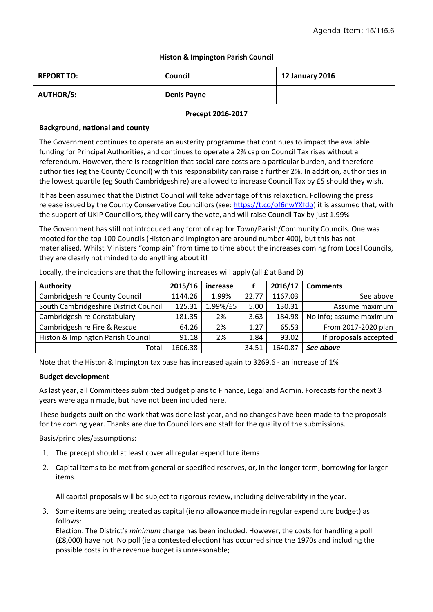# **Histon & Impington Parish Council**

| <b>REPORT TO:</b> | Council            | <b>12 January 2016</b> |
|-------------------|--------------------|------------------------|
| <b>AUTHOR/S:</b>  | <b>Denis Payne</b> |                        |

#### **Precept 2016-2017**

# **Background, national and county**

The Government continues to operate an austerity programme that continues to impact the available funding for Principal Authorities, and continues to operate a 2% cap on Council Tax rises without a referendum. However, there is recognition that social care costs are a particular burden, and therefore authorities (eg the County Council) with this responsibility can raise a further 2%. In addition, authorities in the lowest quartile (eg South Cambridgeshire) are allowed to increase Council Tax by £5 should they wish.

It has been assumed that the District Council will take advantage of this relaxation. Following the press release issued by the County Conservative Councillors (see: https://t.co/of6nwYXfdo) it is assumed that, with the support of UKIP Councillors, they will carry the vote, and will raise Council Tax by just 1.99%

The Government has still not introduced any form of cap for Town/Parish/Community Councils. One was mooted for the top 100 Councils (Histon and Impington are around number 400), but this has not materialised. Whilst Ministers "complain" from time to time about the increases coming from Local Councils, they are clearly not minded to do anything about it!

| <b>Authority</b>                      | 2015/16 | increase |       | 2016/17 | <b>Comments</b>         |
|---------------------------------------|---------|----------|-------|---------|-------------------------|
| <b>Cambridgeshire County Council</b>  | 1144.26 | 1.99%    | 22.77 | 1167.03 | See above               |
| South Cambridgeshire District Council | 125.31  | 1.99%/£5 | 5.00  | 130.31  | Assume maximum          |
| <b>Cambridgeshire Constabulary</b>    | 181.35  | 2%       | 3.63  | 184.98  | No info; assume maximum |
| Cambridgeshire Fire & Rescue          | 64.26   | 2%       | 1.27  | 65.53   | From 2017-2020 plan     |
| Histon & Impington Parish Council     | 91.18   | 2%       | 1.84  | 93.02   | If proposals accepted   |
| Total                                 | 1606.38 |          | 34.51 | 1640.87 | See above               |

Locally, the indications are that the following increases will apply (all £ at Band D)

Note that the Histon & Impington tax base has increased again to 3269.6 - an increase of 1%

## **Budget development**

As last year, all Committees submitted budget plans to Finance, Legal and Admin. Forecasts for the next 3 years were again made, but have not been included here.

These budgets built on the work that was done last year, and no changes have been made to the proposals for the coming year. Thanks are due to Councillors and staff for the quality of the submissions.

Basis/principles/assumptions:

- 1. The precept should at least cover all regular expenditure items
- 2. Capital items to be met from general or specified reserves, or, in the longer term, borrowing for larger items.

All capital proposals will be subject to rigorous review, including deliverability in the year.

3. Some items are being treated as capital (ie no allowance made in regular expenditure budget) as follows:

Election. The District's *minimum* charge has been included. However, the costs for handling a poll (£8,000) have not. No poll (ie a contested election) has occurred since the 1970s and including the possible costs in the revenue budget is unreasonable;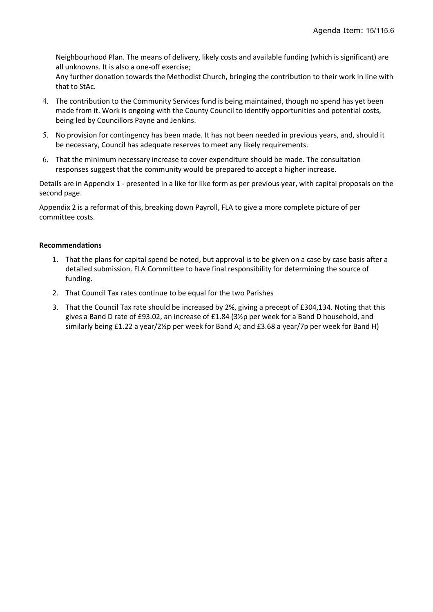Neighbourhood Plan. The means of delivery, likely costs and available funding (which is significant) are all unknowns. It is also a one-off exercise;

Any further donation towards the Methodist Church, bringing the contribution to their work in line with that to StAc.

- 4. The contribution to the Community Services fund is being maintained, though no spend has yet been made from it. Work is ongoing with the County Council to identify opportunities and potential costs, being led by Councillors Payne and Jenkins.
- 5. No provision for contingency has been made. It has not been needed in previous years, and, should it be necessary, Council has adequate reserves to meet any likely requirements.
- 6. That the minimum necessary increase to cover expenditure should be made. The consultation responses suggest that the community would be prepared to accept a higher increase.

Details are in Appendix 1 - presented in a like for like form as per previous year, with capital proposals on the second page.

Appendix 2 is a reformat of this, breaking down Payroll, FLA to give a more complete picture of per committee costs.

## **Recommendations**

- 1. That the plans for capital spend be noted, but approval is to be given on a case by case basis after a detailed submission. FLA Committee to have final responsibility for determining the source of funding.
- 2. That Council Tax rates continue to be equal for the two Parishes
- 3. That the Council Tax rate should be increased by 2%, giving a precept of £304,134. Noting that this gives a Band D rate of £93.02, an increase of £1.84 (3½p per week for a Band D household, and similarly being £1.22 a year/2½p per week for Band A; and £3.68 a year/7p per week for Band H)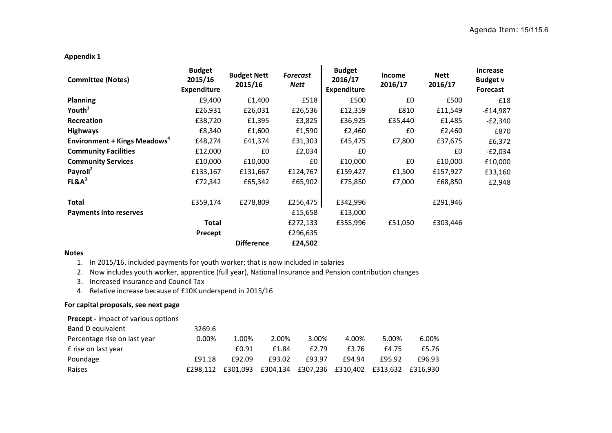# **Appendix 1**

| <b>Committee (Notes)</b>                       | <b>Budget</b><br>2015/16<br><b>Expenditure</b> | <b>Budget Nett</b><br>2015/16 | <b>Forecast</b><br><b>Nett</b> | <b>Budget</b><br>2016/17<br><b>Expenditure</b> | <b>Income</b><br>2016/17 | <b>Nett</b><br>2016/17 | Increase<br><b>Budget v</b><br>Forecast |
|------------------------------------------------|------------------------------------------------|-------------------------------|--------------------------------|------------------------------------------------|--------------------------|------------------------|-----------------------------------------|
| <b>Planning</b>                                | £9,400                                         | £1,400                        | £518                           | £500                                           | £0                       | £500                   | $-E18$                                  |
| Youth <sup>1</sup>                             | £26,931                                        | £26,031                       | £26,536                        | £12,359                                        | £810                     | £11,549                | $-£14,987$                              |
| Recreation                                     | £38,720                                        | £1,395                        | £3,825                         | £36,925                                        | £35,440                  | £1,485                 | $-E2,340$                               |
| <b>Highways</b>                                | £8,340                                         | £1,600                        | £1,590                         | £2,460                                         | £0                       | £2,460                 | £870                                    |
| <b>Environment + Kings Meadows<sup>4</sup></b> | £48,274                                        | £41,374                       | £31,303                        | £45,475                                        | £7,800                   | £37,675                | £6,372                                  |
| <b>Community Facilities</b>                    | £12,000                                        | £0                            | £2,034                         | £0                                             |                          | £0                     | $-E2,034$                               |
| <b>Community Services</b>                      | £10,000                                        | £10,000                       | £0                             | £10,000                                        | £0                       | £10,000                | £10,000                                 |
| Payroll <sup>2</sup>                           | £133,167                                       | £131,667                      | £124,767                       | £159,427                                       | £1,500                   | £157,927               | £33,160                                 |
| $FL&A^3$                                       | £72,342                                        | £65,342                       | £65,902                        | £75,850                                        | £7,000                   | £68,850                | £2,948                                  |
| <b>Total</b>                                   | £359,174                                       | £278,809                      | £256,475                       | £342,996                                       |                          | £291,946               |                                         |
| <b>Payments into reserves</b>                  |                                                |                               | £15,658                        | £13,000                                        |                          |                        |                                         |
|                                                | <b>Total</b>                                   |                               | £272,133                       | £355,996                                       | £51,050                  | £303,446               |                                         |
|                                                | Precept                                        |                               | £296,635                       |                                                |                          |                        |                                         |
|                                                |                                                | <b>Difference</b>             | £24,502                        |                                                |                          |                        |                                         |

#### **Notes**

1. In 2015/16, included payments for youth worker; that is now included in salaries

2. Now includes youth worker, apprentice (full year), National Insurance and Pension contribution changes

3. Increased insurance and Council Tax

4. Relative increase because of £10K underspend in 2015/16

## **For capital proposals, see next page**

# **Precept -** impact of various options

| Band D equivalent            | 3269.6   |        |        |        |        |                                                       |        |
|------------------------------|----------|--------|--------|--------|--------|-------------------------------------------------------|--------|
| Percentage rise on last year | $0.00\%$ | 1.00%  | 2.00%  | 3.00%  | 4.00%  | 5.00%                                                 | 6.00%  |
| £ rise on last year          |          | £0.91  | £1.84  | £2.79  | £3.76  | £4.75                                                 | £5.76  |
| Poundage                     | £91.18   | £92.09 | £93.02 | f93.97 | £94.94 | £95.92                                                | £96.93 |
| Raises                       | £298.112 |        |        |        |        | £301,093 £304,134 £307,236 £310,402 £313,632 £316,930 |        |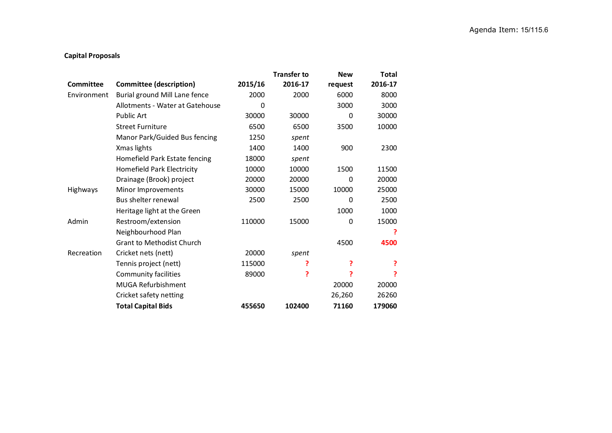# **Capital Proposals**

|             |                                  |          | <b>Transfer to</b> | <b>New</b> | <b>Total</b> |
|-------------|----------------------------------|----------|--------------------|------------|--------------|
| Committee   | <b>Committee (description)</b>   | 2015/16  | 2016-17            | request    | 2016-17      |
| Environment | Burial ground Mill Lane fence    | 2000     | 2000               | 6000       | 8000         |
|             | Allotments - Water at Gatehouse  | $\Omega$ |                    | 3000       | 3000         |
|             | <b>Public Art</b>                | 30000    | 30000              | 0          | 30000        |
|             | <b>Street Furniture</b>          | 6500     | 6500               | 3500       | 10000        |
|             | Manor Park/Guided Bus fencing    | 1250     | spent              |            |              |
|             | Xmas lights                      | 1400     | 1400               | 900        | 2300         |
|             | Homefield Park Estate fencing    | 18000    | spent              |            |              |
|             | Homefield Park Electricity       | 10000    | 10000              | 1500       | 11500        |
|             | Drainage (Brook) project         | 20000    | 20000              | 0          | 20000        |
| Highways    | Minor Improvements               | 30000    | 15000              | 10000      | 25000        |
|             | Bus shelter renewal              | 2500     | 2500               | 0          | 2500         |
|             | Heritage light at the Green      |          |                    | 1000       | 1000         |
| Admin       | Restroom/extension               | 110000   | 15000              | 0          | 15000        |
|             | Neighbourhood Plan               |          |                    |            | ?            |
|             | <b>Grant to Methodist Church</b> |          |                    | 4500       | 4500         |
| Recreation  | Cricket nets (nett)              | 20000    | spent              |            |              |
|             | Tennis project (nett)            | 115000   | ?                  | ?          | ?            |
|             | <b>Community facilities</b>      | 89000    | ?                  | ?          |              |
|             | <b>MUGA Refurbishment</b>        |          |                    | 20000      | 20000        |
|             | Cricket safety netting           |          |                    | 26,260     | 26260        |
|             | <b>Total Capital Bids</b>        | 455650   | 102400             | 71160      | 179060       |